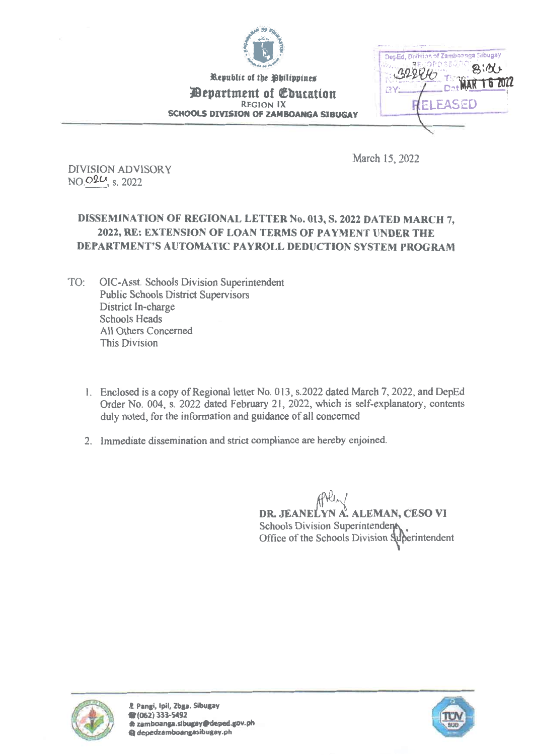

Republic of the Philippines

**Pepartment of Education** REGION IX SCHOOLS DIVISION OF ZAMBOANGA SIBUGAY

Detillid, Division of Zamboanga Sibugay 'Ad 322847 BY / Dat MAR 16 20 FASED

March 15, 2022

DIVISION ADVISORY NO.02<sup>U</sup>, s. 2022

# DISSEMINATION OF REGIONAL LETTER No. 013, S. 2022 DATED MARCH 7, 2022, RE: EXTENSION OF LOAN TERMS OF PAYMENT UNDER THE DEPARTMENT'S AUTOMATIC PAYROLL DEDUCTION SYSTEM PROGRAM

- TO: 01C-Asst. Schools Division Superintendent Public Schools District Supervisors District In-charge Schools Heads All Others Concerned This Division
	- 1. Enclosed is a copy of Regional letter No. 013, s.2022 dated March 7, 2022, and DepEd Order No. 004, s. 2022 dated February 21, 2022, which is self-explanatory, contents duly noted, for the information and guidance of all concerned
	- 2. Immediate dissemination and strict compliance are hereby enjoined.

DR. JEANELYN A. ALEMAN, CESO VI Schools Division Superintendent Office of the Schools Division superintendent



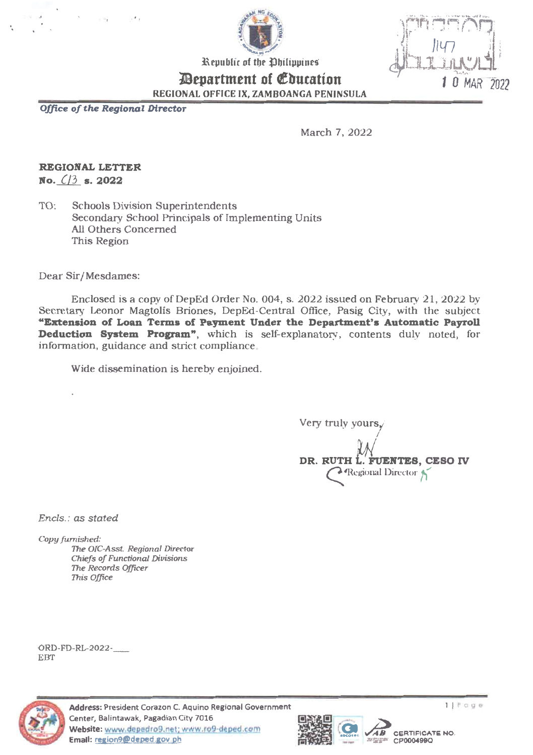

0 MAR 2022

Republic of the Ohilippines

*Department of Education* 

REGIONAL OFFICE IX. ZAMBOANGA PENINSULA

Office of the Regional Director

March 7, 2022

# REGIONAL LETTER

No.  $(3)$  s. 2022

**Schools Division Superintendents** TO: Secondary School Principals of Implementing Units All Others Concerned This Region

Dear Sir/Mesdames:

Enclosed is a copy of DepEd Order No. 004, s. 2022 issued on February 21, 2022 by Secretary Leonor Magtolis Briones, DepEd-Central Office, Pasig City, with the subject "Extension of Loan Terms of Payment Under the Department's Automatic Payroll **Deduction System Program**", which is self-explanatory, contents duly noted, for information, guidance and strict compliance.

Wide dissemination is hereby enjoined.

Very truly yours, DR. RUTH L. FUENTES, CESO IV Regional Director

Encls.: as stated

Copy furnished:

The OIC-Asst. Regional Director **Chiefs of Functional Divisions** The Records Officer This Office

ORD-FD-RL-2022-**EBT** 



Address: President Corazon C. Aquino Regional Government Center, Balintawak, Pagadian City 7016 Website: www.depedro9.net; www.ro9-deped.com Email: region9@deped.gov.ph



**CERTIFICATE NO.** 

 **第二年 CP000499Q**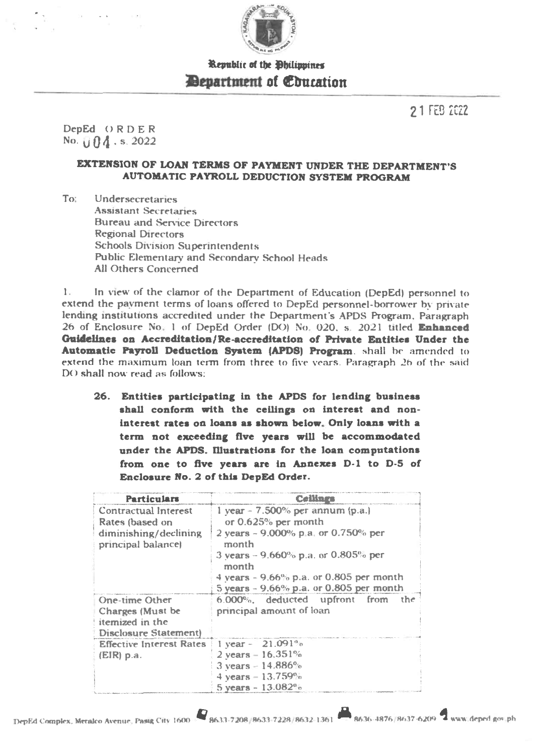

# Republic of the Philippines **Elepartment of Ebucation**

21 FEB ZEZZ

DepEd ORDER No.  $|| \n *0* 4$  . s. 2022

## EXTENSION OF LOAN TERMS OF PAYMENT UNDER THE DEPARTMENT'S AUTOMATIC PAYROLL DEDUCTION SYSTEM PROGRAM

To: Undersecretaries Assistant Secretaries Bureau and Service Directors Regional Directors Schools Division Superintendents Public Elementary and Secondary School Heads All Others Concerned

1. In view of the clamor of the Department of Education (DepEd) personnel to extend the payment terms of loans offered to DepEd personnel-borrower by private lending institutions accredited under the Department's APDS Program. Paragraph 26 of Enclosure No 1 of DepEd Order (DO) No 020. s 2021 titled Enhanced Guidelines on Accreditation/Re-accreditation of Private Entities Under the Automatic Payroll Deduction System (APDS) Program. shall be amended to extend the maximum loan term from three to five years. Paragraph 26 of the said DO shall now read as follows:

26. Entities participating in the APDS for lending business shall conform with the ceilings on interest and noninterest rates on loans as shown below. Only loans with a term not exceeding five years will be accommodated under the APDS. Illustrations for the loan computations from one to five years are in Annexes D-1 to D-5 of Enclosure No. 2 of this DepEd Order.

| <b>Particulars</b>                                                                     | <b>Ceilings</b>                                                                                                                                                                                              |  |  |  |  |
|----------------------------------------------------------------------------------------|--------------------------------------------------------------------------------------------------------------------------------------------------------------------------------------------------------------|--|--|--|--|
| Contractual Interest<br>Rates (based on<br>diminishing/declining<br>principal balance) | $1$ year – 7.500% per annum (p.a.)<br>or 0.625% per month<br>2 years $-9.000\%$ p.a. or 0.750% per<br>month<br>3 years $-9.660\%$ p.a. or 0.805% per<br>month<br>$4$ years $-9.66\%$ p.a. or 0.805 per month |  |  |  |  |
| One-time Other<br>Charges (Must be<br>itemized in the<br><b>Disclosure Statement)</b>  | 5 years - 9.66% p.a. or 0.805 per month<br>6.000%, deducted upfront from<br>the<br>principal amount of loan                                                                                                  |  |  |  |  |
| <b>Effective Interest Rates</b><br>$(EIR)$ p.a.                                        | $1$ year $-21.091%$<br>$2 \text{ years} - 16.351\%$<br>$3 \text{ years} - 14.886\%$<br>4 years $-13.759\%$<br>5 years - $13.082\%$                                                                           |  |  |  |  |

DepEd Complex, Meraico Avenue, Pasig City 1600 B633-7208 [8633-7228 [8632-1361 8636-4876 [8637-6209 www.deped.gov.ph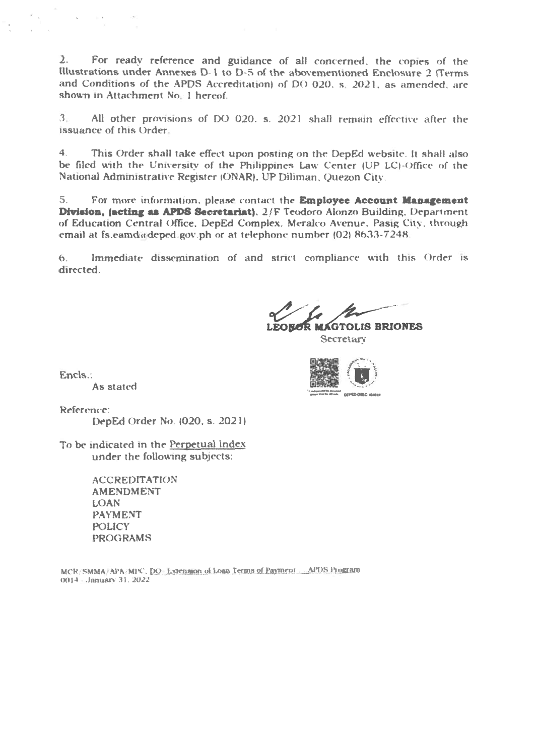2. For ready reference and guidance of all concerned, the copies of the Illustrations under Annexes D- 1 to D-5 of the abovementioned Enclosure 2 (Terms and Conditions of the ARDS Accreditation) of DO 020. s. 2021. as amended, are shown in Attachment No. 1 hereof.

3 All other provisions of DO 020. s. 2021 shall remain effective after the issuance of this Order

4. This Order shall take effect upon posting on the DepEd website. It shall also be filed with the University of the Philippines Law Center (UP LC)-Office of the National Administrative Register IONAR). UP Diliman, Quezon City.

5. For more information, please contact the Employee Account Management Division, (acting as APDS Secretariat), 2/F Teodoro Alonzo Building. Department of Education Central Office. DepEd Complex, Meralco Avenue. Pasig City, through email at fs.eamd@deped.gov.ph or at telephone number (02) 8633-7248.

6. Immediate dissemination of and strict compliance with this Order is directed.

LEONOR MAGTOLIS BRIONES Secretary

Encls.:

 $\frac{1}{\sqrt{2}}$  .

and the control of the

As stated

Reference:

DepEd Order No. (020. s. 20211

To be indicated in the Perpetual Index under the following subjects:

> ACCREDITATION AMENDMENT LOAN PAYMENT POLICY PROGRAMS

MCR/SMMA APA , MPC, DO Extension of Loan Terms of Payment ... APDS Program 0014 .1anuan, 31. 2022

•••••••10. **CIENTIFICANO** en alguna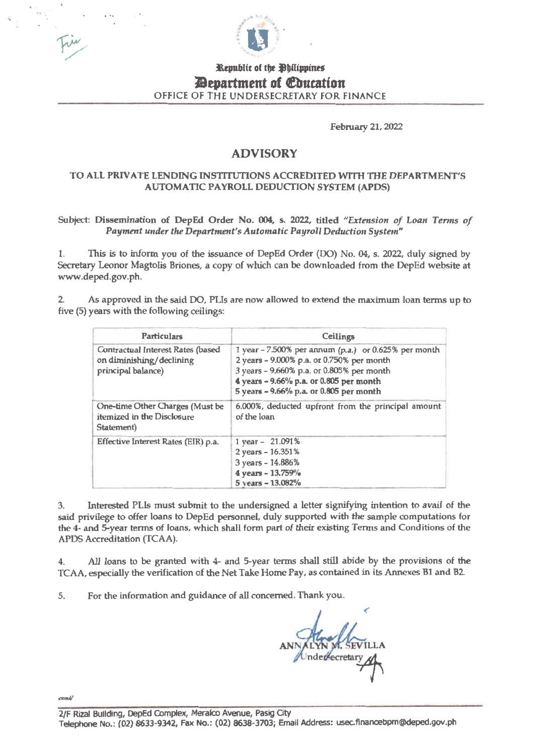

## Republic of the **P**hilippines *Pepartment of Education* OFFICE OF THE UNDERSECRETARY FOR FINANCE

February 21,2022

## ADVISORY

## TO ALL PRIVATE LENDING INSTITUTIONS ACCREDITED WITH THE DEPARTMENT'S AUTOMATIC PAYROLL DEDUCTION SYSTEM (APDS)

Subject: Dissemination of DepEd Order No. 004, s. 2022, titled "Extension of Loan Terms of Payment under the Department's Automatic Payroll Deduction System"

1. This is to inform you of the issuance of DepEd Order (DO) No. 04, s. 2022, duly signed by Secretary Leonor Magtolis Briones, a copy of which can be downloaded from the DepEd website at www.deped.gov.ph.

2. As approved in the said DO, PLIs are now allowed to extend the maximum loan terms up to five (5) years with the following ceilings:

| Particulars                                                                         | Ceilings                                                                                                                                                                                                                             |
|-------------------------------------------------------------------------------------|--------------------------------------------------------------------------------------------------------------------------------------------------------------------------------------------------------------------------------------|
| Contractual Interest Rates (based<br>on diminishing/declining<br>principal balance) | 1 year - 7.500% per annum (p.a.) or 0.625% per month<br>2 years - 9.000% p.a. or 0.750% per month<br>3 years - 9.660% p.a. or 0.805% per month<br>4 years - 9.66% p.a. or 0.805 per month<br>5 years - 9.66% p.a. or 0.805 per month |
| One-time Other Charges (Must be<br>itemized in the Disclosure<br>Statement)         | 6.000%, deducted upfront from the principal amount<br>of the loan                                                                                                                                                                    |
| Effective Interest Rates (EIR) p.a.                                                 | 1 year - 21.091%<br>2 years - 16.351%<br>3 years - 14.886%<br>4 years - 13.759%<br>5 years - 13.082%                                                                                                                                 |

3. Interested PLIs must submit to the undersigned a letter signifying intention to avail of the said privilege to offer loans to DepEd personnel, duly supported with the sample computations for the 4- and 5-year terms of loans, which shall form part of their existing Terms and Conditions of the APDS Accreditation (TCAA).

4. All loans to be granted with 4- and 5-year terms shall still abide by the provisions of the TCAA, especially the verification of the Net Take Home Pay, as contained in its Annexes B1 and B2.

5. For the information and guidance of all concerned. Thank you

YN MY SEV

earndi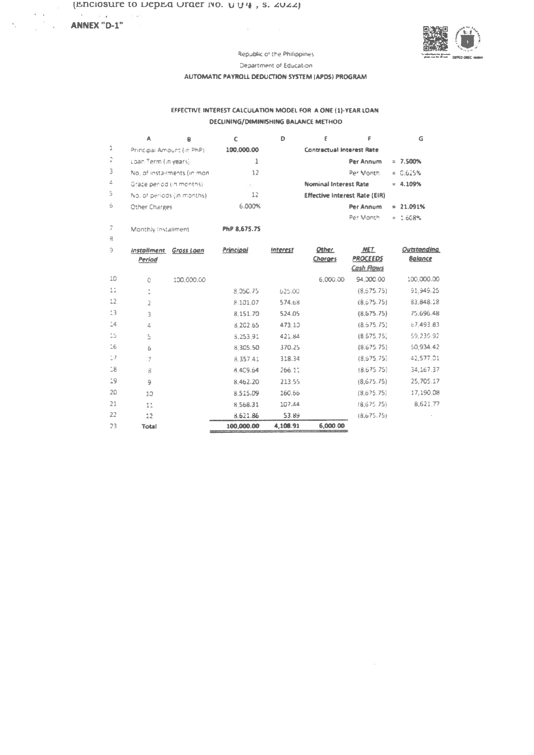#### ANNEX "D-1"

 $\stackrel{+}{\llcorner}$ 

 $16\,$ 

 $17$ 

 $^{\circ}_{\circ}8$ 

19

 $20\,$ 

 $21\,$ 

22

 $23$ 

 $\mathbb{S}$ 

 $\overline{6}$ 

 $\overline{7}$ 

 $\hat{8}$ 

 $\,9$ 

 $10$ 

 $11\,$ 

 $12$ 

**Total** 



Republic of the Philippines

 $\mathbb{R}^+$ 

Department of Education

#### AUTOMATIC PAYROLL DEDUCTION SYSTEM (APDS) PROGRAM

#### EFFECTIVE INTEREST CALCULATION MODEL FOR A ONE (1)-YEAR LOAN **DECLINING/DIMINISHING BALANCE METHOD**

|                | A                            | B                           | c            | D               | £                                    | F                                    | G              |
|----------------|------------------------------|-----------------------------|--------------|-----------------|--------------------------------------|--------------------------------------|----------------|
| 1              | Principal Amount (in PhP).   |                             | 100,000.00   |                 | <b>Contractual Interest Rate</b>     |                                      |                |
| 2              | Loan Term (in years)         |                             | 1            |                 |                                      | Per Annum                            | $= 7.500%$     |
| 3              | No. of installments (in mon- |                             | 12           |                 |                                      | Per Month.                           | $= 0.625%$     |
| 4              | Grace period (in months).    |                             | w            |                 | <b>Nominal Interest Rate</b>         |                                      | $= 4.109%$     |
| 5              |                              | No. of periods (in months). | 12           |                 | <b>Effective Interest Rate (EIR)</b> |                                      |                |
| b              | Other Charges                |                             | 6.000%       |                 |                                      | Per Annum                            | $= 21.091%$    |
|                |                              |                             |              |                 |                                      | Per Month                            | $= 1.608%$     |
| 7              | Monthly Installment          |                             | PhP 8.675.75 |                 |                                      |                                      |                |
| $\overline{B}$ |                              |                             |              |                 |                                      |                                      |                |
| Э              | <b>Installment</b>           | Gross Loan                  | Principal    | <b>Interest</b> | Other                                | <b>NET</b>                           | Outstanding    |
|                | Period                       |                             |              |                 | Charges                              | <b>PROCEEDS</b><br><b>Cash Flows</b> | <b>Balance</b> |
| 10             | Ō                            | 100,000.00                  |              |                 | 6,000.00                             | 94,000.00                            | 100,000.00     |
| $11 -$         | q.<br>$\mathcal{A}$          |                             | 8.050.75     | 625.00          |                                      | (8, 575.75)                          | 91,949.25      |
| 12             | 2                            |                             | 8.101.07     | 574.68          |                                      | (8.675.75)                           | 83,848.18      |
| 13             | Ĵ                            |                             | 8.151.70     | 524.05          |                                      | (8,675.75)                           | 75,696.48      |
| 14             | 4                            |                             | 8.202.65     | 473.10          |                                      | (8.675.75)                           | 67,493.83      |

421.84

370.25

318.34

266.11

213,55

160.66

107.44

53.89

4,108.91

 $8,253,91$ 

8,305.50

8.357.41

8.4C9.64

8,462.20

8,515.09

 $8\,568.31$ 

8.621.86

100,000.00

 $(8,675,75)$ 

 ${8,675.75}$ 

 $(8,675,75)$ 

 $(8.675.75)$ 

 $(8,675.75)$ 

 $(8,675,75)$ 

 $(8,675,75)$ 

 $(8,675,75)$ 

6,000.00

59,239.92

50,934,42

42,577.01

34,167.37

25,705.17

17,190.08

 $8,621,77$ 

 $\sim$   $\sim$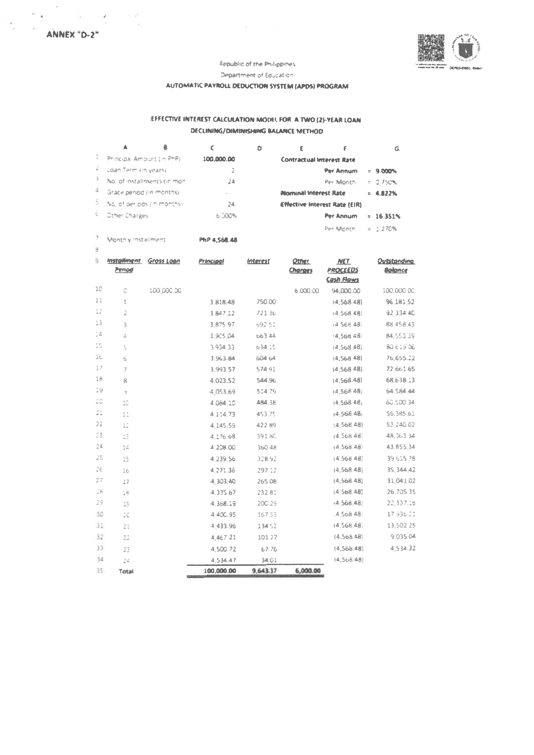

Department of Education

## AUTOMATIC PAYROLL DEDUCTION SYSTEM (APDS) PROGRAM

## EFFECTIVE INTEREST CALCULATION MODEL FOR A TWO (2)-YEAR LOAN DECLINING/DIMINISHING BALANCE METHOD

|    |                              | 8 |            | D |                              |                                      | G.          |
|----|------------------------------|---|------------|---|------------------------------|--------------------------------------|-------------|
|    | Principal Amount (in PhP)    |   | 100,000.00 |   |                              | <b>Contractual Interest Rate</b>     |             |
| Á. | Loan Term (in years)         |   |            |   |                              | Per Annum                            | $= 9.000%$  |
|    | No. of installments (in mon- |   | 24         |   |                              | Per Month                            | $= 2.750%$  |
| 4  | Grace period (in months).    |   | $\sim$     |   | <b>Nominal Interest Rate</b> |                                      | $= 4.822\%$ |
|    | No. of periods i'm manths!   |   | 24         |   |                              | <b>Effective Interest Rate (EIR)</b> |             |
|    | Other Charges                |   | 6.000%     |   |                              | Per Annum                            | $= 16.351%$ |
|    |                              |   |            |   |                              | Per Month                            | $= 1.270%$  |

7 Monthly Installment PhP 4,568.48

 $\frac{10}{12}$ 

| 9                                                                                | <i><b>Installment</b></i><br>Period | Gross Loan | Principal  | <b>Interest</b> | <b>Other</b><br><b>Charges</b> | <b>NET</b><br><b>PROCEEDS</b><br><b>Cash Flows</b> | Outstandina<br><b>Bolonce</b> |
|----------------------------------------------------------------------------------|-------------------------------------|------------|------------|-----------------|--------------------------------|----------------------------------------------------|-------------------------------|
| 10                                                                               | Ĉ                                   | 100,000.00 |            |                 | 6,000,00                       | 94,000.00                                          | 100,000.00                    |
| 11                                                                               | 1                                   |            | 3.818.48   | 750.00          |                                | (4,568.48)                                         | 96.181.52                     |
| $\Omega$                                                                         | 2                                   |            | 3 847 12   | 72136           |                                | (4, 568.48)                                        | 92 334 40                     |
| 13                                                                               | G.                                  |            | 3 875 97   | 692.51          |                                | (4.568.48)                                         | 88,458,43                     |
| $\frac{1}{n} \frac{\partial}{\partial x}$                                        | å                                   |            | 3,905.04   | 663 44          |                                | : 4,568,48                                         | 84,553,39                     |
| $\stackrel{\scriptscriptstyle{A}}{_\sim}\stackrel{\scriptscriptstyle{E}}{_\sim}$ | Ś                                   |            | 3.934.33   | 634.15          |                                | (4,568,48)                                         | 80.619.06                     |
| üċ                                                                               | 6                                   |            | 3.963.84   | 604.64          |                                | (4,568.48)                                         | 76,655.22                     |
| 17                                                                               | 7                                   |            | 3.993.57   | 574.91          |                                | (4,568.48)                                         | 72,661.65                     |
| 18                                                                               | ß                                   |            | 4.023.52   | 544.96          |                                | (4,568.48)                                         | 68,638.13                     |
| 19                                                                               | ý                                   |            | 4.053.69   | 514.79          |                                | (4,568.48)                                         | 64.584.44                     |
| 20                                                                               | 10                                  |            | 4.084.10   | 484.38          |                                | (4,568.48)                                         | 60,500.34                     |
| 21                                                                               | $\frac{1}{4}$ $\frac{1}{4}$         |            | 4.114.73   | 453.75          |                                | (4,568.48)                                         | 56.385 61                     |
| 22                                                                               | $\frac{1}{2}$ .                     |            | 4.145.59   | 42289           |                                | 14.568.48                                          | 52 240.02                     |
| 23                                                                               | 13                                  |            | 4.176.68   | 391 8C          |                                | $+4,568,48$                                        | 48,063.34                     |
| 24                                                                               | 54                                  |            | 4,208.00   | 360.48          |                                | 14,568.48                                          | 43.855.34                     |
| 25                                                                               | 15                                  |            | 4,239,56   | 328.92          |                                | (4,568,48)                                         | 39.615.78                     |
| 26                                                                               | 16                                  |            | 4,271,36   | 297.12          |                                | (4,568,48)                                         | 35.344.42                     |
| 27                                                                               | 17                                  |            | 4.303.40   | 265.08          |                                | (4,568,48)                                         | 31,041.02                     |
| 28                                                                               | 18                                  |            | 4,335.67   | 232.81          |                                | ${4,568.48}$                                       | 26.705.35                     |
| 29                                                                               | 19                                  |            | 4.368.19   | 200.29          |                                | (4,568,48)                                         | 22,337,16                     |
| 30                                                                               | 20                                  |            | 4 400.95   | 167.53          |                                | $-4,568,48$                                        | 17,936.21                     |
| 31                                                                               | 21                                  |            | 4 433.96   | 134.52          |                                | (4,568.48)                                         | 13,502.25                     |
| 32                                                                               | 22                                  |            | 4.467.21   | 101.27          |                                | (4.568.48)                                         | 9.035.04                      |
| 33                                                                               | 23                                  |            | 4,500.72   | 67.76           |                                | (4,568.48)                                         | 4.534.32                      |
| 34                                                                               | 24                                  |            | 4,534.47   | 34.01           |                                | (4,568,48)                                         |                               |
| 35                                                                               | Total                               |            | 100,000.00 | 9,643.37        | 6,000.00                       |                                                    |                               |

 $\frac{1}{2}$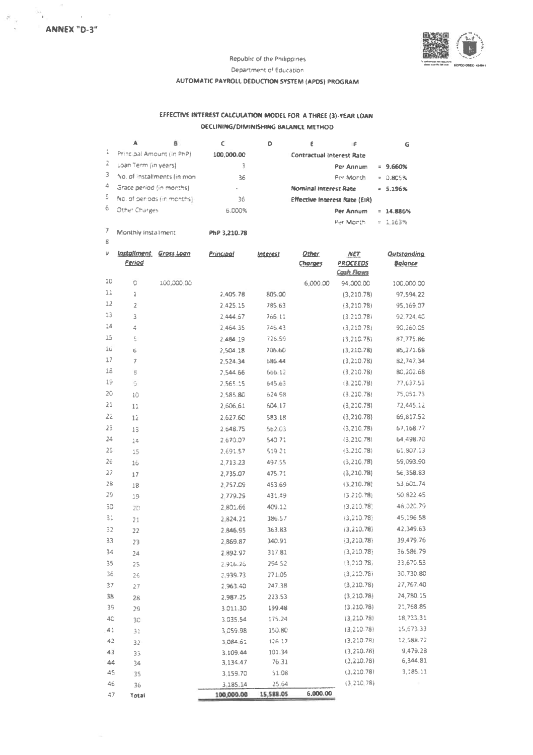

#### Republic of the Philippines

Department of Education

## AUTOMATIC PAYROLL DEDUCTION SYSTEM (APDS) PROGRAM

#### EFFECTIVE INTEREST CALCULATION MODEL FOR A THREE (3)-YEAR LOAN **DECLINING/DIMINISHING BALANCE METHOD**

|   |                             |                             |            | D | ε                     |                                      | G           |
|---|-----------------------------|-----------------------------|------------|---|-----------------------|--------------------------------------|-------------|
| ã | Principal Amount (in PhP)   |                             | 100.000.00 |   |                       | <b>Contractual Interest Rate</b>     |             |
|   | Loan Term (in years)        |                             | 3          |   |                       | Per Annum                            | $= 9.660%$  |
| 3 |                             | No. of installments (in mon | 36         |   |                       | Per Month                            | $= 0.805%$  |
| 4 | Grace period (in months)    |                             | $\alpha$   |   | Nominal Interest Rate |                                      | $= 5.196%$  |
| s | No. of periods (in months). |                             | 36         |   |                       | <b>Effective Interest Rate (EIR)</b> |             |
| ö | <b>Other Charges</b>        |                             | 5.000%     |   |                       | Per Annum                            | $= 14.886%$ |
|   |                             |                             |            |   |                       | Per Month                            | $= 1.163%$  |

 $\bar{8}$ 

7 Monthly installment PhP 3,210.78

| 9  | <i><u><b>Installment</b></u></i><br>Period | <u>Gross Loan</u> | Principal  | Interest  | <b>Other</b><br>Charges | <b>NET</b><br><b>PROCEEDS</b><br><b>Cash Flows</b> | <b>Outstanding</b><br><b>Balance</b> |
|----|--------------------------------------------|-------------------|------------|-----------|-------------------------|----------------------------------------------------|--------------------------------------|
| 10 | ō                                          | 100,000.00        |            |           | 6,000.00                | 94,000.00                                          | 100,000.00                           |
| 11 | 1                                          |                   | 2,405.78   | 805.00    |                         | (3, 210.78)                                        | 97,594.22                            |
| 12 | 2                                          |                   | 2 425.15   | 785.63    |                         | (3, 210.78)                                        | 95,169.07                            |
| 13 | 3                                          |                   | 2.444.67   | 766 11    |                         | (3, 210.78)                                        | 92,724.40                            |
| 14 | 4                                          |                   | 2,464.35   | 746.43    |                         | (3, 210.78)                                        | 90,260,05                            |
| 15 | Š                                          |                   | 2,484.19   | 726.59    |                         | (3,210.78)                                         | 87,775.86                            |
| 16 | 6                                          |                   | 2,504.18   | 706.60    |                         | (3, 210.78)                                        | 85,271.68                            |
| 17 | $\overline{7}$                             |                   | 2,524.34   | 686.44    |                         | (3, 210.78)                                        | 82,747.34                            |
| 18 | 8                                          |                   | 2,544.66   | 666 12    |                         | (3, 210.78)                                        | 80,202.68                            |
| 19 | Ğ                                          |                   | 2,565.15   | 645.63    |                         | (3.210.78)                                         | 77,637.53                            |
| 20 | 10                                         |                   | 2,585,80   | 624.98    |                         | (3, 210.78)                                        | 75,051.73                            |
| 21 | 11                                         |                   | 2,606.61   | 604.17    |                         | (3, 210.78)                                        | 72,445.12                            |
| 22 | 12                                         |                   | 2,627.60   | 583.18    |                         | (3, 210.78)                                        | 69,817.52                            |
| 23 | 13                                         |                   | 2.648.75   | 562.03    |                         | (3, 210, 78)                                       | 67,168.77                            |
| 24 | 14                                         |                   | 2,670.07   | 540.71    |                         | (3.210.78)                                         | 64,498.70                            |
| 25 | 15                                         |                   | 2,691.57   | 519 21    |                         | (3.210.78)                                         | 61,807.13                            |
| 26 | 16                                         |                   | 2,713.23   | 497.55    |                         | (3, 210, 78)                                       | 59,093.90                            |
| 27 | 17                                         |                   | 2,735.07   | 475 71    |                         | (3, 210.78)                                        | 56,358.83                            |
| 28 | 18                                         |                   | 2,757.09   | 453.69    |                         | (3,210.78)                                         | 53,601.74                            |
| 29 | 19                                         |                   | 2.779.29   | 431.49    |                         | (3.210.78)                                         | 50.822.45                            |
| 30 | 20                                         |                   | 2.801.66   | 409.12    |                         | (3, 210.78)                                        | 48,020.79                            |
| 31 | 21                                         |                   | 2824.21    | 386.57    |                         | (3, 210.78)                                        | 45,196.58                            |
| 32 | 22                                         |                   | 2.846.95   | 363.83    |                         | (3, 210.78)                                        | 42,349.63                            |
| 33 | 23                                         |                   | 2869.87    | 340.91    |                         | (3,210.78)                                         | 39,479.76                            |
| 34 | 24                                         |                   | 2.892.97   | 317.81    |                         | (3, 210.78)                                        | 36,586.79                            |
| 35 | 25                                         |                   | 2 916.26   | 294.52    |                         | (3, 210.78)                                        | 33.670.53                            |
| 36 | 26                                         |                   | 2.939.73   | 271.05    |                         | ${3,210.78}$                                       | 30,730.80                            |
| 37 | 27                                         |                   | 2,963.40   | 247.38    |                         | (3,210.78)                                         | 27,767.40                            |
| 38 | 28                                         |                   | 2,987.25   | 223.53    |                         | (3, 210.78)                                        | 24,780.15                            |
| 39 | 29                                         |                   | 3.011.30   | 199.48    |                         | (3, 210.78)                                        | 21,768.85                            |
| 4C | 3 <sup>c</sup>                             |                   | 3,035.54   | 175.24    |                         | (3, 210.78)                                        | 18,733.31                            |
| 41 | 31                                         |                   | 3 059 98   | 150.80    |                         | (3, 210.78)                                        | 15,673.33                            |
| 42 | 32                                         |                   | 3,084.61   | 126.17    |                         | (3.210.78)                                         | 12,588.72                            |
| 43 | 33                                         |                   | 3,109.44   | 101.34    |                         | (3, 210.78)                                        | 9,479.28                             |
| 44 | 34                                         |                   | 3,134.47   | 76.31     |                         | (3,210.78)                                         | 6,344.81                             |
| 45 | 35                                         |                   | 3,159.70   | 51.08     |                         | (3, 210.78)                                        | 3,185.11                             |
| 46 | 36                                         |                   | 3,185.14   | 25.64     |                         | (3.210.78)                                         |                                      |
| 47 | Total                                      |                   | 100,000.00 | 15,588.05 | 6,000.00                |                                                    |                                      |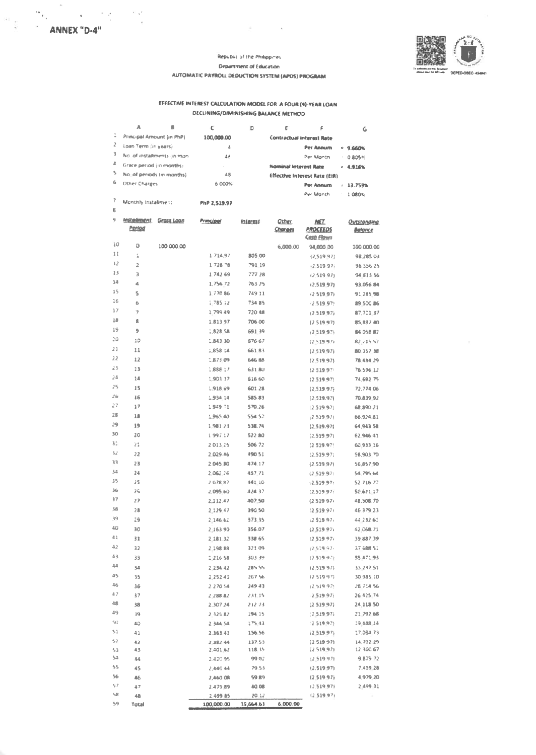$\frac{1}{2}$ 

 $\sim 10^{-1}$   $\rm g$   $^2$ 

 $\sim$   $\alpha$ 

 $\frac{1}{2}$ 



#### Republic of the Philippines **Department of Education** AUTOMATIC PAYROLL DEDUCTION SYSTEM (APDS) PROGRAM

and the control

## EFFECTIVE INTEREST CALCULATION MODEL FOR A FOUR (4)-YEAR LOAN **DECLINING/DIMINISHING BALANCE METHOD**

|    | л                            |                             | с            | D               | ε                                | F                                                  | G                               |
|----|------------------------------|-----------------------------|--------------|-----------------|----------------------------------|----------------------------------------------------|---------------------------------|
| 1  | Principal Amount (in PhP)    |                             | 100,000.00   |                 | <b>Contractual Interest Rate</b> |                                                    |                                 |
| 2  | Loan Term (in years)         |                             | 4            |                 |                                  | Per Annum                                          | $= 9.660%$                      |
| 3  |                              | No. of installments (in mon | 48           |                 |                                  | Per Month                                          | 0.805%<br>$\mathbf{r}$ .        |
| 4  | Grace period (in months)     |                             |              |                 | <b>Nominal Interest Rate</b>     |                                                    | 4.916%<br>a.                    |
| 5  | No. of periods (in months)   |                             | 48           |                 |                                  | <b>Effective Interest Rate (EIR)</b>               |                                 |
| 6  | Other Charges                |                             | 6 000%       |                 |                                  | Per Annum                                          | $\ddot{\phantom{a}}$<br>13.759% |
|    |                              |                             |              |                 |                                  | Per Month                                          | 1.080%                          |
| 7  | Monthly Installment          |                             | PhP 2.519.97 |                 |                                  |                                                    |                                 |
| 8  |                              |                             |              |                 |                                  |                                                    |                                 |
| 9  | <i>installment</i><br>Period | <b>Grass Loan</b>           | Principal    | <b>Interest</b> | <b>Other</b><br>Charges          | <b>NET</b><br><b>PROCEEDS</b><br><b>Cash Flows</b> | Outstanding<br><b>Balance</b>   |
| 10 | а                            | 100,000.00                  |              |                 | 6,000.00                         | 94,000.00                                          | 100,000.00                      |
| 11 | î.                           |                             | 1.714.97     | 805.00          |                                  | (2.519.97)                                         | 98.285.03                       |
| 12 | 2                            |                             | 1728.78      | 791.19          |                                  | 12.519.97                                          | 96 556 25                       |
| 13 | 3                            |                             | 1.742.69     | 777 28          |                                  | (2.519.97)                                         | 94 813 56                       |
| 14 | d,                           |                             | 2.756.72     | 763 25          |                                  | (2.519.97)                                         | 93.056.84                       |
| 15 | s                            |                             | 1,770.86     | 749 11          |                                  | (2.519.97)                                         | 91.285.98                       |
| 16 | ă                            |                             | 1.785.12     | 734 85          |                                  | $-2.519$ 97                                        | 89.500.86                       |
| 37 | 7                            |                             | 1.799.49     | 720 48          |                                  | (2.519.97)                                         | 87.701.37                       |
| 18 | g                            |                             | 1,813.97     | 706 00          |                                  | (2.519.97)                                         | 85,887.40                       |
| 19 | 9                            |                             | 1,828.58     | 691.39          |                                  | $-2.519.971$                                       | 84 058 87                       |
| 20 | 10                           |                             | 1,843.30     | 676 67          |                                  | (2.519.97)                                         | 82.235.52                       |
| 21 | 11                           |                             | 1,858 14     | 661.83          |                                  | (2.519.97)                                         | 80 357 38                       |
| 22 | 12                           |                             | 1,873.09     | 646 88          |                                  | (2.519.97)                                         | 78.434.29                       |
| 23 | 13                           |                             | 1,888.17     | 63180           |                                  | 12.519.971                                         | 76.596.12                       |
| 24 | 14                           |                             | 1,903.37     | 616.60          |                                  | (2.519.97)                                         | 74.692.75                       |
| 25 | 15                           |                             | 1.918.69     | 601.28          |                                  | (2.519.97)                                         | 72,774.06                       |
| 2b | 16                           |                             | 1.934.14     | 585.83          |                                  | (2.519.97)                                         | 70.839.92                       |
| 27 | 17                           |                             | 1.949.71     | 570.26          |                                  | (2.519.97)                                         | 68 890 21                       |
| 28 | 18                           |                             | 1,965.40     | 554.57          |                                  | 12,539.97                                          | 66,924.81                       |
| 29 | 19                           |                             | 1.981.23     | 538.74          |                                  | (2,519.97)                                         | 64,943.58                       |
| 30 | 28                           |                             | 1997.17      | 522 80          |                                  | (2.519.97)                                         | 62.946.41                       |
| 30 | 21                           |                             | 2013.25      | 506 72          |                                  | (2.519.97)                                         | 60.933.16                       |
| 32 | 22                           |                             | 2.029.46     | 490.51          |                                  | (2, 519.97)                                        | 58.903.70                       |
| 33 | 23                           |                             | 2.045.80     | 474.17          |                                  | (2.519.97)                                         | 56,857.90                       |
| 猛  | 24                           |                             | 2.062.26     | 457.71          |                                  | (2.519.97)                                         | 54.795.64                       |
| 35 | 25                           |                             | 2.078.87     | 441.10          |                                  | 12.519.97                                          | 52.716.77                       |
| 36 | 26                           |                             | 2.095.60     | 424.37          |                                  | (2.519.97)                                         | 50,621.17                       |
| 37 | 27                           |                             | 2,112.47     | 407.50          |                                  | (2.51997)                                          | 48,508.70                       |
| も出 | 28                           |                             | 2.129.47     | 390.50          |                                  | (2.519.97)                                         | 46 379 23                       |
| 39 | 29                           |                             | 2.146.62     | 373.35          |                                  | 12.519.97                                          | 44.232.61                       |
| 40 | 30                           |                             | 2:163 90     | 356.07          |                                  | (2,519.97)                                         | 47-068-71                       |
| 41 | 31                           |                             | 2.181.32     | 338 65          |                                  | (2.519.97)                                         | 39 887 39                       |
| 42 | 32                           |                             | 2.198.88     | 321 09          |                                  | 72.519.97                                          | 37 688 51                       |
| 43 | 33                           |                             | 2:216.58     | 303 39          |                                  | (2,539.92)                                         | 35.471.93                       |
| 44 | 34                           |                             | 2.234.42     | 285.55          |                                  | (2,519.97)                                         | 33.237.51                       |
| 45 | 35                           |                             | 2,252.41     | 267.56          |                                  | 12.519.971                                         | 30.985.10                       |
| 46 | 36                           |                             | 2.270.54     | 249 43          |                                  | (2,519.97)                                         | 28.714.56                       |
| 47 | 37                           |                             | 2:288.82     | 231.15          |                                  | $-2.51997$                                         | 26 425 74                       |
| 48 | 38                           |                             | 2,307.24     | 212.73          |                                  | (2519.97)                                          | 24.118.50                       |
| 49 | 39                           |                             | 2.325.82     | 194.15          |                                  | (2.519.97)                                         | 21.792.68                       |
| 50 | 40                           |                             | 2 344 54     | 175.43          |                                  | (2.519.97)                                         | 19.448.14                       |
| 51 | 41                           |                             | 2.363.41     | 156.56          |                                  | (2.519.97)                                         | 17.084.73                       |
| 52 | 42                           |                             | 2,382.44     | 137.53          |                                  | (2, 519.97)                                        | 14.702.29                       |
| 53 | 43                           |                             | 2,401.62     | 118.35          |                                  | (2.519.97)                                         | 12.300.67                       |
| 54 | 44                           |                             | 2,420.95     | 99.02           |                                  | (2.519.97)                                         | 9,879.72                        |
| 55 | 45                           |                             | 2,440.44     | 79.53           |                                  | (2.519.97)                                         | 7,439.28                        |
| 56 | 46                           |                             | 2,460.08     | 59.89           |                                  | (2.519.97)                                         | 4,979.20                        |
| 57 | 47                           |                             | 2.479.89     | 40.08           |                                  | (2.519.97)                                         | 2 499 31                        |
| 58 | 48                           |                             | 2.499 85     | 20.12           |                                  | (2.519.97)                                         |                                 |
| 59 | Total                        |                             | 100,000.00   | 19,664.63       | 6,000.00                         |                                                    |                                 |